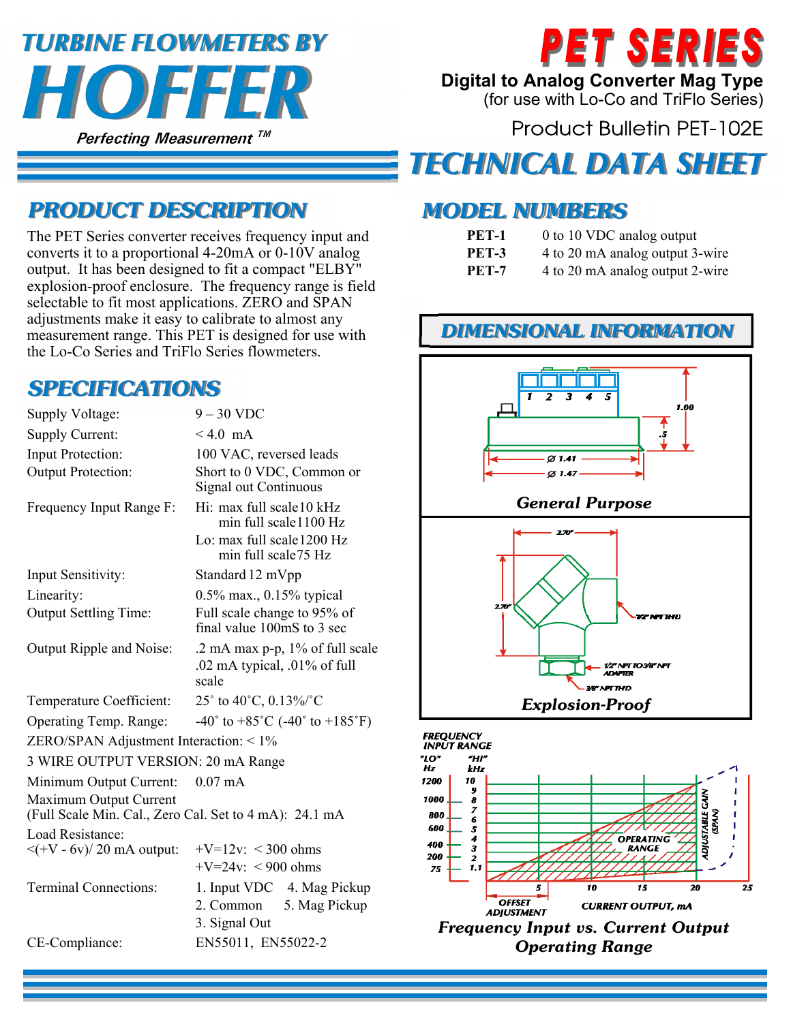# **Perfecting Measurement TM**  *HOFFER TURBINE FLOWMETERS BY*



**Digital to Analog Converter Mag Type** 

(for use with Lo-Co and TriFlo Series)

**Product Bulletin PET-102E** 

## *TECHNICAL DATA SHEET*

#### *MODEL NUMBERS*

- **PET-1** 0 to 10 VDC analog output
- **PET-3** 4 to 20 mA analog output 3-wire
- **PET-7** 4 to 20 mA analog output 2-wire

#### *DIMENSIONAL INFORMATION*



### *PRODUCT DESCRIPTION*

The PET Series converter receives frequency input and converts it to a proportional 4-20mA or 0-10V analog output. It has been designed to fit a compact "ELBY" explosion-proof enclosure. The frequency range is field selectable to fit most applications. ZERO and SPAN adjustments make it easy to calibrate to almost any measurement range. This PET is designed for use with the Lo-Co Series and TriFlo Series flowmeters.

### *SPECIFICATIONS*

| Supply Voltage:                                                                  | $9 - 30$ VDC                                                                                            |
|----------------------------------------------------------------------------------|---------------------------------------------------------------------------------------------------------|
| Supply Current:                                                                  | $< 4.0$ mA                                                                                              |
| Input Protection:                                                                | 100 VAC, reversed leads                                                                                 |
| Output Protection:                                                               | Short to 0 VDC, Common or<br>Signal out Continuous                                                      |
| Frequency Input Range F:                                                         | Hi: max full scale10 kHz<br>min full scale1100 Hz<br>Lo: max full scale 1200 Hz<br>min full scale 75 Hz |
| Input Sensitivity:                                                               | Standard 12 mVpp                                                                                        |
| Linearity:                                                                       | 0.5% max., 0.15% typical                                                                                |
| <b>Output Settling Time:</b>                                                     | Full scale change to 95% of<br>final value 100mS to 3 sec                                               |
| Output Ripple and Noise:                                                         | .2 mA max p-p, 1% of full scale<br>.02 mA typical, .01% of full<br>scale                                |
| Temperature Coefficient:                                                         | 25° to 40°C, 0.13%/°C                                                                                   |
| Operating Temp. Range:                                                           | $-40^{\circ}$ to $+85^{\circ}$ C ( $-40^{\circ}$ to $+185^{\circ}$ F)                                   |
| ZERO/SPAN Adjustment Interaction: < 1%                                           |                                                                                                         |
| 3 WIRE OUTPUT VERSION: 20 mA Range                                               |                                                                                                         |
| Minimum Output Current:                                                          | $0.07 \text{ mA}$                                                                                       |
| Maximum Output Current<br>(Full Scale Min. Cal., Zero Cal. Set to 4 mA): 24.1 mA |                                                                                                         |
| Load Resistance:<br>$\langle$ (+V - 6v)/20 mA output:                            | $+V=12v$ : < 300 ohms<br>$+V=24v$ : < 900 ohms                                                          |
| <b>Terminal Connections:</b>                                                     | 1. Input VDC 4. Mag Pickup<br>2. Common<br>5. Mag Pickup<br>3. Signal Out                               |
| CE-Compliance:                                                                   | EN55011, EN55022-2                                                                                      |